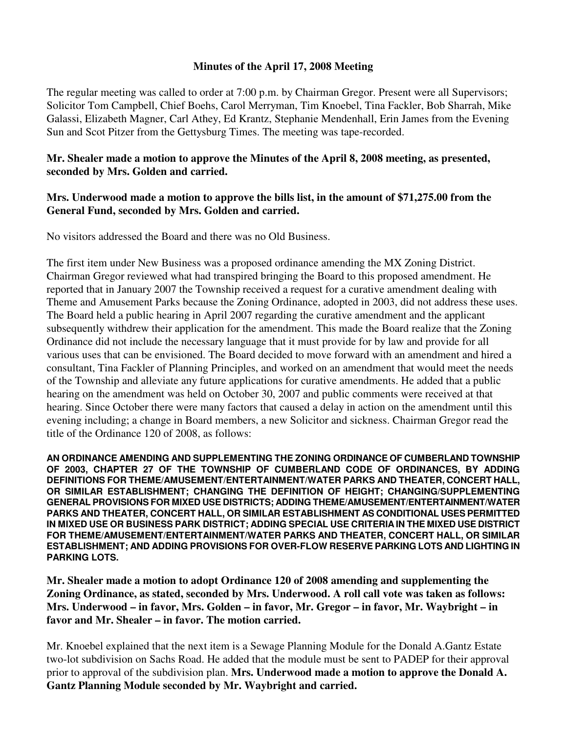## **Minutes of the April 17, 2008 Meeting**

The regular meeting was called to order at 7:00 p.m. by Chairman Gregor. Present were all Supervisors; Solicitor Tom Campbell, Chief Boehs, Carol Merryman, Tim Knoebel, Tina Fackler, Bob Sharrah, Mike Galassi, Elizabeth Magner, Carl Athey, Ed Krantz, Stephanie Mendenhall, Erin James from the Evening Sun and Scot Pitzer from the Gettysburg Times. The meeting was tape-recorded.

**Mr. Shealer made a motion to approve the Minutes of the April 8, 2008 meeting, as presented, seconded by Mrs. Golden and carried.** 

## **Mrs. Underwood made a motion to approve the bills list, in the amount of \$71,275.00 from the General Fund, seconded by Mrs. Golden and carried.**

No visitors addressed the Board and there was no Old Business.

The first item under New Business was a proposed ordinance amending the MX Zoning District. Chairman Gregor reviewed what had transpired bringing the Board to this proposed amendment. He reported that in January 2007 the Township received a request for a curative amendment dealing with Theme and Amusement Parks because the Zoning Ordinance, adopted in 2003, did not address these uses. The Board held a public hearing in April 2007 regarding the curative amendment and the applicant subsequently withdrew their application for the amendment. This made the Board realize that the Zoning Ordinance did not include the necessary language that it must provide for by law and provide for all various uses that can be envisioned. The Board decided to move forward with an amendment and hired a consultant, Tina Fackler of Planning Principles, and worked on an amendment that would meet the needs of the Township and alleviate any future applications for curative amendments. He added that a public hearing on the amendment was held on October 30, 2007 and public comments were received at that hearing. Since October there were many factors that caused a delay in action on the amendment until this evening including; a change in Board members, a new Solicitor and sickness. Chairman Gregor read the title of the Ordinance 120 of 2008, as follows:

**AN ORDINANCE AMENDING AND SUPPLEMENTING THE ZONING ORDINANCE OF CUMBERLAND TOWNSHIP OF 2003, CHAPTER 27 OF THE TOWNSHIP OF CUMBERLAND CODE OF ORDINANCES, BY ADDING DEFINITIONS FOR THEME/AMUSEMENT/ENTERTAINMENT/WATER PARKS AND THEATER, CONCERT HALL, OR SIMILAR ESTABLISHMENT; CHANGING THE DEFINITION OF HEIGHT; CHANGING/SUPPLEMENTING GENERAL PROVISIONS FOR MIXED USE DISTRICTS; ADDING THEME/AMUSEMENT/ENTERTAINMENT/WATER PARKS AND THEATER, CONCERT HALL, OR SIMILAR ESTABLISHMENT AS CONDITIONAL USES PERMITTED IN MIXED USE OR BUSINESS PARK DISTRICT; ADDING SPECIAL USE CRITERIA IN THE MIXED USE DISTRICT FOR THEME/AMUSEMENT/ENTERTAINMENT/WATER PARKS AND THEATER, CONCERT HALL, OR SIMILAR ESTABLISHMENT; AND ADDING PROVISIONS FOR OVER-FLOW RESERVE PARKING LOTS AND LIGHTING IN PARKING LOTS.** 

**Mr. Shealer made a motion to adopt Ordinance 120 of 2008 amending and supplementing the Zoning Ordinance, as stated, seconded by Mrs. Underwood. A roll call vote was taken as follows: Mrs. Underwood – in favor, Mrs. Golden – in favor, Mr. Gregor – in favor, Mr. Waybright – in favor and Mr. Shealer – in favor. The motion carried.** 

Mr. Knoebel explained that the next item is a Sewage Planning Module for the Donald A.Gantz Estate two-lot subdivision on Sachs Road. He added that the module must be sent to PADEP for their approval prior to approval of the subdivision plan. **Mrs. Underwood made a motion to approve the Donald A. Gantz Planning Module seconded by Mr. Waybright and carried.**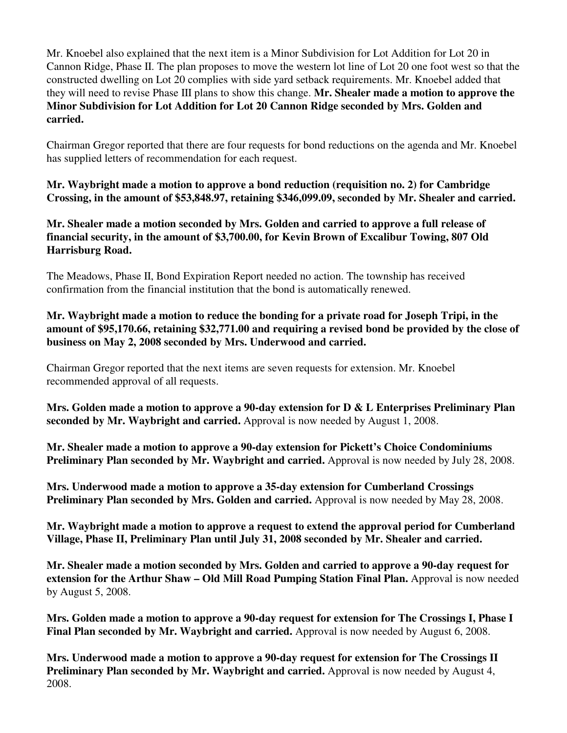Mr. Knoebel also explained that the next item is a Minor Subdivision for Lot Addition for Lot 20 in Cannon Ridge, Phase II. The plan proposes to move the western lot line of Lot 20 one foot west so that the constructed dwelling on Lot 20 complies with side yard setback requirements. Mr. Knoebel added that they will need to revise Phase III plans to show this change. **Mr. Shealer made a motion to approve the Minor Subdivision for Lot Addition for Lot 20 Cannon Ridge seconded by Mrs. Golden and carried.** 

Chairman Gregor reported that there are four requests for bond reductions on the agenda and Mr. Knoebel has supplied letters of recommendation for each request.

**Mr. Waybright made a motion to approve a bond reduction (requisition no. 2) for Cambridge Crossing, in the amount of \$53,848.97, retaining \$346,099.09, seconded by Mr. Shealer and carried.** 

**Mr. Shealer made a motion seconded by Mrs. Golden and carried to approve a full release of financial security, in the amount of \$3,700.00, for Kevin Brown of Excalibur Towing, 807 Old Harrisburg Road.** 

The Meadows, Phase II, Bond Expiration Report needed no action. The township has received confirmation from the financial institution that the bond is automatically renewed.

**Mr. Waybright made a motion to reduce the bonding for a private road for Joseph Tripi, in the amount of \$95,170.66, retaining \$32,771.00 and requiring a revised bond be provided by the close of business on May 2, 2008 seconded by Mrs. Underwood and carried.** 

Chairman Gregor reported that the next items are seven requests for extension. Mr. Knoebel recommended approval of all requests.

**Mrs. Golden made a motion to approve a 90-day extension for D & L Enterprises Preliminary Plan seconded by Mr. Waybright and carried.** Approval is now needed by August 1, 2008.

**Mr. Shealer made a motion to approve a 90-day extension for Pickett's Choice Condominiums Preliminary Plan seconded by Mr. Waybright and carried.** Approval is now needed by July 28, 2008.

**Mrs. Underwood made a motion to approve a 35-day extension for Cumberland Crossings Preliminary Plan seconded by Mrs. Golden and carried.** Approval is now needed by May 28, 2008.

**Mr. Waybright made a motion to approve a request to extend the approval period for Cumberland Village, Phase II, Preliminary Plan until July 31, 2008 seconded by Mr. Shealer and carried.** 

**Mr. Shealer made a motion seconded by Mrs. Golden and carried to approve a 90-day request for extension for the Arthur Shaw – Old Mill Road Pumping Station Final Plan.** Approval is now needed by August 5, 2008.

**Mrs. Golden made a motion to approve a 90-day request for extension for The Crossings I, Phase I**  Final Plan seconded by Mr. Waybright and carried. Approval is now needed by August 6, 2008.

**Mrs. Underwood made a motion to approve a 90-day request for extension for The Crossings II**  Preliminary Plan seconded by Mr. Waybright and carried. Approval is now needed by August 4, 2008.